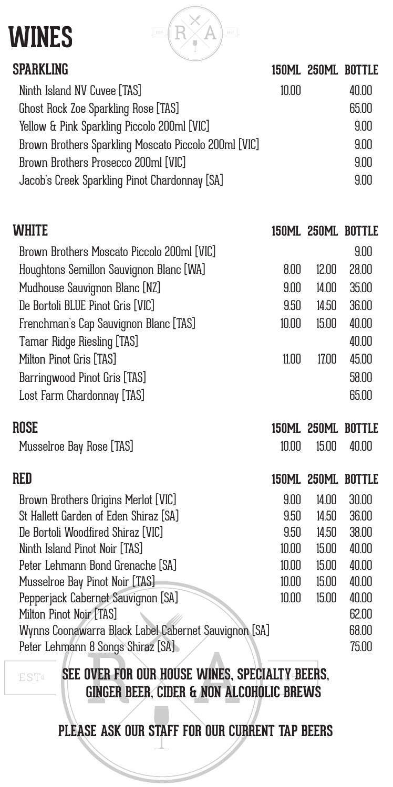| <b>WINES</b><br>EST4<br>1867                         |       |       |                    |
|------------------------------------------------------|-------|-------|--------------------|
| <b>SPARKLING</b>                                     |       |       | 150ML 250ML BOTTLE |
| Ninth Island NV Cuvee [TAS]                          | 10.00 |       | 40.00              |
| Ghost Rock Zoe Sparkling Rose [TAS]                  |       |       | 65.00              |
| Yellow & Pink Sparkling Piccolo 200ml [VIC]          |       |       | 9.00               |
| Brown Brothers Sparkling Moscato Piccolo 200ml [VIC] |       |       | 9.00               |
| Brown Brothers Prosecco 200ml [VIC]                  |       |       | 9.00               |
| Jacob's Creek Sparkling Pinot Chardonnay [SA]        |       |       | 9.00               |
|                                                      |       |       |                    |
| WHITE                                                |       |       | 150ML 250ML BOTTLE |
| Brown Brothers Moscato Piccolo 200ml [VIC]           |       |       | 9.00               |
| Houghtons Semillon Sauvignon Blanc [WA]              | 8.00  | 12.00 | 28.00              |
| Mudhouse Sauvignon Blanc [NZ]                        | 9.00  | 14.00 | 35.00              |
| De Bortoli BLUE Pinot Gris [VIC]                     | 9.50  | 14.50 | 36.00              |
| Frenchman's Cap Sauvignon Blanc [TAS]                | 10.00 | 15.00 | 40.00              |
| <b>Tamar Ridge Riesling [TAS]</b>                    |       |       | 40.00              |
| Milton Pinot Gris [TAS]                              | 11.00 | 17.00 | 45.00              |
| Barringwood Pinot Gris [TAS]                         |       |       | 58.00              |
| Lost Farm Chardonnay [TAS]                           |       |       | 65.00              |
| ROSE                                                 |       |       | 150ML 250ML BOTTLE |
| Musselroe Bay Rose [TAS]                             | 10.00 | 15.00 | 40.00              |
| <b>RED</b>                                           |       |       | 150ML 250ML BOTTLE |
| Brown Brothers Origins Merlot [VIC]                  | 9.00  | 14.00 | 30.00              |
| St Hallett Garden of Eden Shiraz [SA]                | 9.50  | 14.50 | 36.00              |
| De Bortoli Woodfired Shiraz [VIC]                    | 9.50  | 14.50 | 38.00              |
| Ninth Island Pinot Noir [TAS]                        | 10.00 | 15.00 | 40.00              |
| Peter Lehmann Bond Grenache [SA]                     | 10.00 | 15.00 | 40.00              |
| Musselroe Bay Pinot Noir [TAS]                       | 10.00 | 15.00 | 40.00              |
| Pepperjack Cabernet Sauvignon [SA]                   | 10.00 | 15.00 | 40.00              |
| Milton Pinot Noir [TAS]                              |       |       | 62.00              |
| Wynns Coonawarra Black Label Cabernet Sauvignon [SA] |       |       | 68.00              |
| Peter Lehmann 8 Songs Shiraz [SA]                    |       |       | 75.00              |

**EST**<sup>d</sup>

**SEE OVER FOR OUR HOUSE WINES, SPECIALTY BEERS, GINGER BEER, CIDER & NON ALCOHOLIC BREWS**

**PLEASE ASK OUR STAFF FOR OUR CURRENT TAP BEERS**